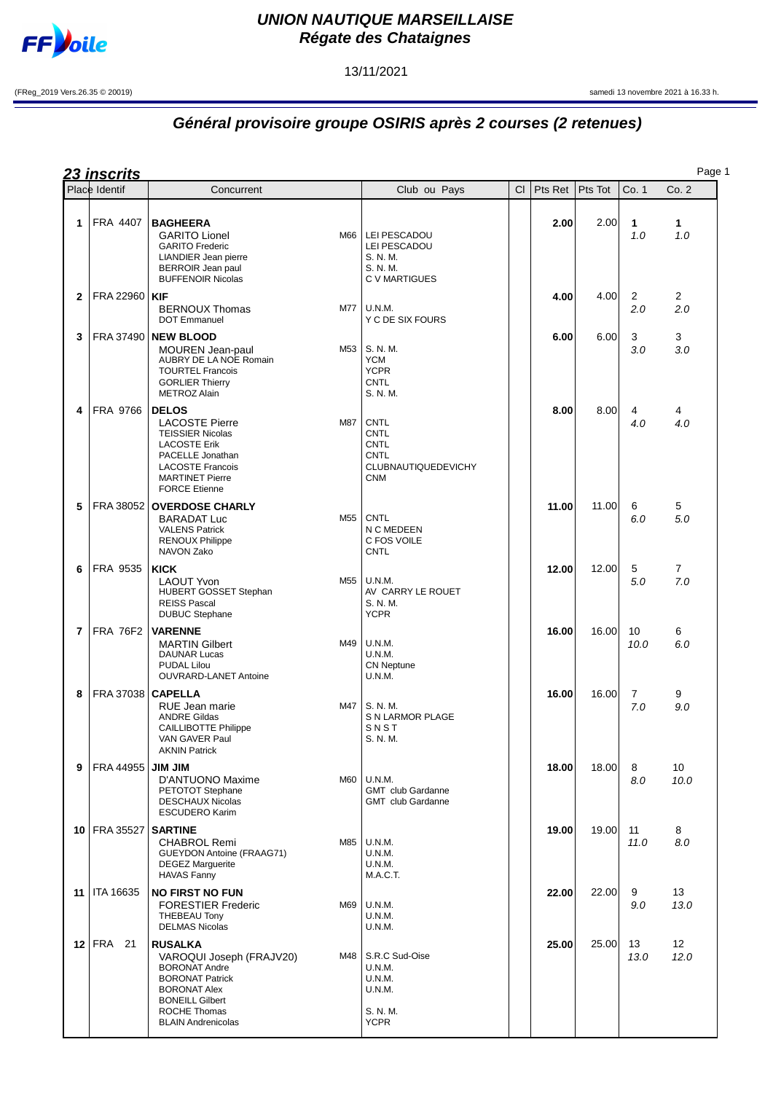

## **UNION NAUTIQUE MARSEILLAISE Régate des Chataignes**

13/11/2021

(FReg\_2019 Vers.26.35 © 20019) samedi 13 novembre 2021 à 16.33 h.

## **Général provisoire groupe OSIRIS après 2 courses (2 retenues)**

|    | <b>23 inscrits</b>  |                                                                                                                                                                                                   |     |                                                                                                      |    |         |         |                       | Page 1                |
|----|---------------------|---------------------------------------------------------------------------------------------------------------------------------------------------------------------------------------------------|-----|------------------------------------------------------------------------------------------------------|----|---------|---------|-----------------------|-----------------------|
|    | Place Identif       | Concurrent                                                                                                                                                                                        |     | Club ou Pays                                                                                         | CI | Pts Ret | Pts Tot | Co. 1                 | Co.2                  |
| 1  | FRA 4407            | <b>BAGHEERA</b><br><b>GARITO Lionel</b><br><b>GARITO Frederic</b><br>LIANDIER Jean pierre<br><b>BERROIR Jean paul</b><br><b>BUFFENOIR Nicolas</b>                                                 | M66 | LEI PESCADOU<br>LEI PESCADOU<br>S. N. M.<br>S. N. M.<br>C V MARTIGUES                                |    | 2.00    | 2.00    | 1<br>1.0              | 1<br>1.0              |
| 2  | FRA 22960   KIF     | <b>BERNOUX Thomas</b><br><b>DOT Emmanuel</b>                                                                                                                                                      | M77 | U.N.M.<br>Y C DE SIX FOURS                                                                           |    | 4.00    | 4.00    | $\overline{2}$<br>2.0 | $\overline{2}$<br>2.0 |
| 3  |                     | <b>FRA 37490 NEW BLOOD</b><br><b>MOUREN Jean-paul</b><br>AUBRY DE LA NOE Romain<br><b>TOURTEL Francois</b><br><b>GORLIER Thierry</b><br><b>METROZ Alain</b>                                       | M53 | S. N. M.<br><b>YCM</b><br><b>YCPR</b><br><b>CNTL</b><br>S. N. M.                                     |    | 6.00    | 6.00    | 3<br>3.0              | 3<br>3.0              |
| 4  | FRA 9766            | <b>DELOS</b><br><b>LACOSTE Pierre</b><br><b>TEISSIER Nicolas</b><br><b>LACOSTE Erik</b><br>PACELLE Jonathan<br><b>LACOSTE Francois</b><br><b>MARTINET Pierre</b><br><b>FORCE Etienne</b>          | M87 | <b>CNTL</b><br><b>CNTL</b><br><b>CNTL</b><br><b>CNTL</b><br><b>CLUBNAUTIQUEDEVICHY</b><br><b>CNM</b> |    | 8.00    | 8.00    | 4<br>4.0              | 4<br>4.0              |
| 5  |                     | FRA 38052 OVERDOSE CHARLY<br><b>BARADAT Luc</b><br><b>VALENS Patrick</b><br><b>RENOUX Philippe</b><br>NAVON Zako                                                                                  | M55 | <b>CNTL</b><br>N C MEDEEN<br>C FOS VOILE<br>CNTL                                                     |    | 11.00   | 11.00   | 6<br>6.0              | 5<br>5.0              |
| 6  | FRA 9535            | <b>KICK</b><br><b>LAOUT Yvon</b><br>HUBERT GOSSET Stephan<br><b>REISS Pascal</b><br><b>DUBUC Stephane</b>                                                                                         | M55 | U.N.M.<br>AV CARRY LE ROUET<br>S. N. M.<br><b>YCPR</b>                                               |    | 12.00   | 12.00   | 5<br>5.0              | 7<br>7.0              |
| 7  | <b>FRA 76F2</b>     | <b>VARENNE</b><br><b>MARTIN Gilbert</b><br><b>DAUNAR Lucas</b><br><b>PUDAL Lilou</b><br><b>OUVRARD-LANET Antoine</b>                                                                              | M49 | U.N.M.<br>U.N.M.<br><b>CN Neptune</b><br>U.N.M.                                                      |    | 16.00   | 16.00   | 10<br>10.0            | 6<br>6.0              |
| 8  | FRA 37038   CAPELLA | RUE Jean marie<br><b>ANDRE Gildas</b><br><b>CAILLIBOTTE Philippe</b><br>VAN GAVER Paul<br><b>AKNIN Patrick</b>                                                                                    | M47 | S. N. M.<br>S N LARMOR PLAGE<br>SNST<br>S. N. M.                                                     |    | 16.00   | 16.00   | 7<br>7.0              | 9<br>9.0              |
| 9  | FRA 44955           | <b>MIL MIL</b><br>D'ANTUONO Maxime<br>PETOTOT Stephane<br><b>DESCHAUX Nicolas</b><br><b>ESCUDERO Karim</b>                                                                                        | M60 | U.N.M.<br><b>GMT</b> club Gardanne<br><b>GMT</b> club Gardanne                                       |    | 18.00   | 18.00   | 8<br>8.0              | 10<br>10.0            |
|    | 10   FRA 35527      | <b>SARTINE</b><br><b>CHABROL Remi</b><br>GUEYDON Antoine (FRAAG71)<br><b>DEGEZ Marguerite</b><br><b>HAVAS Fanny</b>                                                                               | M85 | U.N.M.<br>U.N.M.<br>U.N.M.<br>M.A.C.T.                                                               |    | 19.00   | 19.00   | 11<br>11.0            | 8<br>8.0              |
| 11 | ITA 16635           | <b>NO FIRST NO FUN</b><br><b>FORESTIER Frederic</b><br><b>THEBEAU Tony</b><br><b>DELMAS Nicolas</b>                                                                                               | M69 | <b>U.N.M.</b><br>U.N.M.<br>U.N.M.                                                                    |    | 22.00   | 22.00   | 9<br>9.0              | 13<br>13.0            |
|    | 12   FRA<br>21      | <b>RUSALKA</b><br>VAROQUI Joseph (FRAJV20)<br><b>BORONAT Andre</b><br><b>BORONAT Patrick</b><br><b>BORONAT Alex</b><br><b>BONEILL Gilbert</b><br><b>ROCHE Thomas</b><br><b>BLAIN Andrenicolas</b> | M48 | S.R.C Sud-Oise<br>U.N.M.<br>U.N.M.<br>U.N.M.<br>S. N. M.<br><b>YCPR</b>                              |    | 25.00   | 25.00   | 13<br>13.0            | 12<br>12.0            |